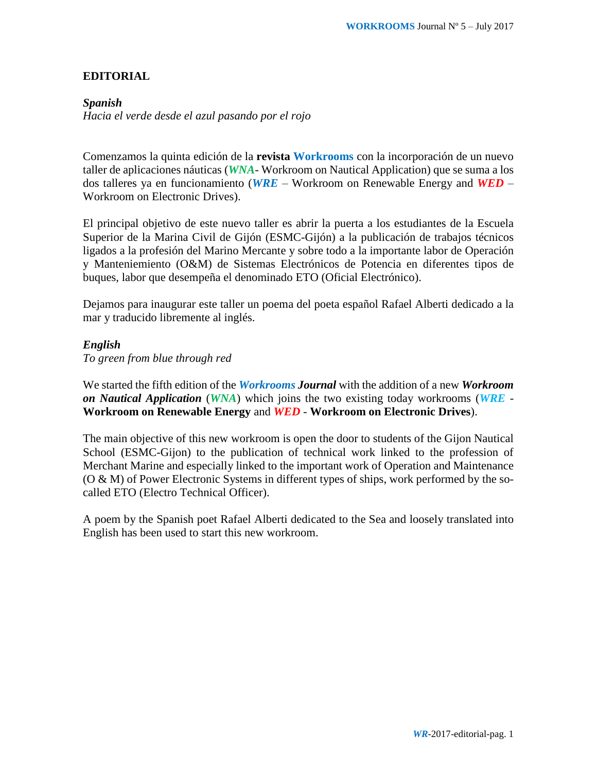### **EDITORIAL**

### *Spanish*

*Hacia el verde desde el azul pasando por el rojo*

Comenzamos la quinta edición de la **revista Workrooms** con la incorporación de un nuevo taller de aplicaciones náuticas (*WNA*- Workroom on Nautical Application) que se suma a los dos talleres ya en funcionamiento (*WRE* – Workroom on Renewable Energy and *WED* – Workroom on Electronic Drives).

El principal objetivo de este nuevo taller es abrir la puerta a los estudiantes de la Escuela Superior de la Marina Civil de Gijón (ESMC-Gijón) a la publicación de trabajos técnicos ligados a la profesión del Marino Mercante y sobre todo a la importante labor de Operación y Manteniemiento (O&M) de Sistemas Electrónicos de Potencia en diferentes tipos de buques, labor que desempeña el denominado ETO (Oficial Electrónico).

Dejamos para inaugurar este taller un poema del poeta español Rafael Alberti dedicado a la mar y traducido libremente al inglés.

### *English*

*To green from blue through red*

We started the fifth edition of the *Workrooms Journal* with the addition of a new *Workroom on Nautical Application* (*WNA*) which joins the two existing today workrooms (*WRE* - **Workroom on Renewable Energy** and *WED* - **Workroom on Electronic Drives**).

The main objective of this new workroom is open the door to students of the Gijon Nautical School (ESMC-Gijon) to the publication of technical work linked to the profession of Merchant Marine and especially linked to the important work of Operation and Maintenance (O & M) of Power Electronic Systems in different types of ships, work performed by the socalled ETO (Electro Technical Officer).

A poem by the Spanish poet Rafael Alberti dedicated to the Sea and loosely translated into English has been used to start this new workroom.